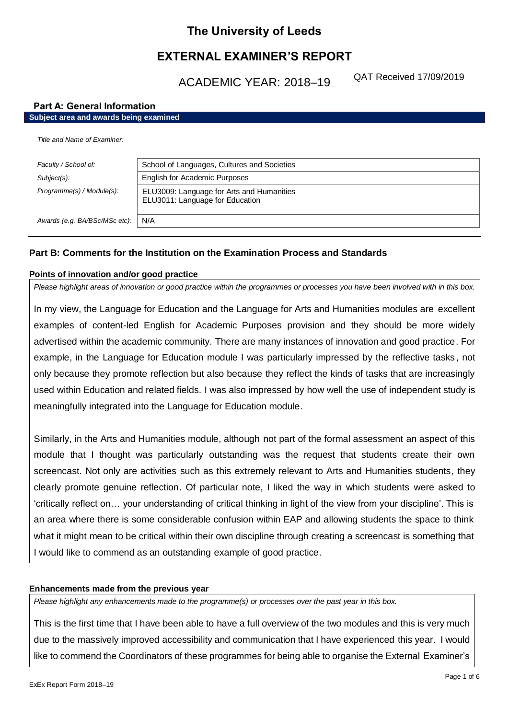# **The University of Leeds**

# **EXTERNAL EXAMINER'S REPORT**

ACADEMIC YEAR: 2018–19

QAT Received 17/09/2019

# **Part A: General Information**

| Subject area and awards being examined |                                                                              |  |
|----------------------------------------|------------------------------------------------------------------------------|--|
| Title and Name of Examiner:            |                                                                              |  |
| Faculty / School of:                   | School of Languages, Cultures and Societies                                  |  |
| $Subject(s)$ :                         | English for Academic Purposes                                                |  |
| Programme(s) / Module(s):              | ELU3009: Language for Arts and Humanities<br>ELU3011: Language for Education |  |
| Awards (e.g. BA/BSc/MSc etc):          | N/A                                                                          |  |

# **Part B: Comments for the Institution on the Examination Process and Standards**

### **Points of innovation and/or good practice**

*Please highlight areas of innovation or good practice within the programmes or processes you have been involved with in this box.*

In my view, the Language for Education and the Language for Arts and Humanities modules are excellent examples of content-led English for Academic Purposes provision and they should be more widely advertised within the academic community. There are many instances of innovation and good practice. For example, in the Language for Education module I was particularly impressed by the reflective tasks , not only because they promote reflection but also because they reflect the kinds of tasks that are increasingly used within Education and related fields. I was also impressed by how well the use of independent study is meaningfully integrated into the Language for Education module.

Similarly, in the Arts and Humanities module, although not part of the formal assessment an aspect of this module that I thought was particularly outstanding was the request that students create their own screencast. Not only are activities such as this extremely relevant to Arts and Humanities students, they clearly promote genuine reflection. Of particular note, I liked the way in which students were asked to 'critically reflect on… your understanding of critical thinking in light of the view from your discipline'. This is an area where there is some considerable confusion within EAP and allowing students the space to think what it might mean to be critical within their own discipline through creating a screencast is something that I would like to commend as an outstanding example of good practice.

# **Enhancements made from the previous year**

*Please highlight any enhancements made to the programme(s) or processes over the past year in this box.*

This is the first time that I have been able to have a full overview of the two modules and this is very much due to the massively improved accessibility and communication that I have experienced this year. I would like to commend the Coordinators of these programmes for being able to organise the External Examiner's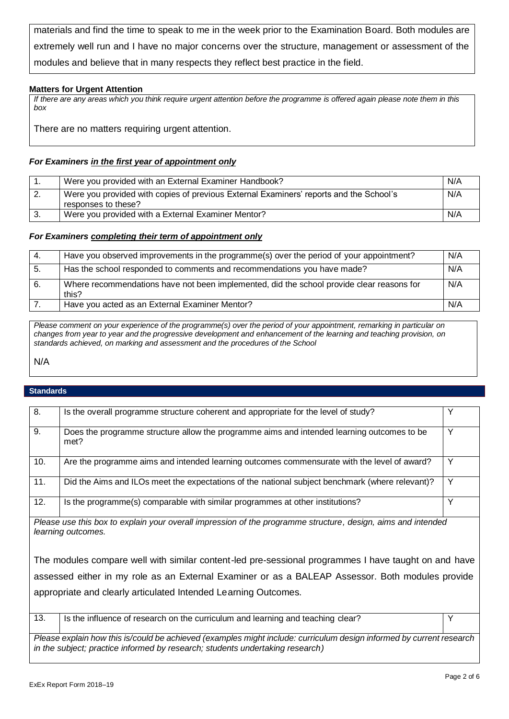materials and find the time to speak to me in the week prior to the Examination Board. Both modules are extremely well run and I have no major concerns over the structure, management or assessment of the modules and believe that in many respects they reflect best practice in the field.

# **Matters for Urgent Attention**

*If there are any areas which you think require urgent attention before the programme is offered again please note them in this box*

There are no matters requiring urgent attention.

# *For Examiners in the first year of appointment only*

| Were you provided with an External Examiner Handbook?                                                         | N/A |
|---------------------------------------------------------------------------------------------------------------|-----|
| Were you provided with copies of previous External Examiners' reports and the School's<br>responses to these? | N/A |
| Were you provided with a External Examiner Mentor?                                                            | N/A |

### *For Examiners completing their term of appointment only*

| -4. | Have you observed improvements in the programme(s) over the period of your appointment?            | N/A |
|-----|----------------------------------------------------------------------------------------------------|-----|
| -5. | Has the school responded to comments and recommendations you have made?                            | N/A |
| 6.  | Where recommendations have not been implemented, did the school provide clear reasons for<br>this? | N/A |
|     | Have you acted as an External Examiner Mentor?                                                     | N/A |

*Please comment on your experience of the programme(s) over the period of your appointment, remarking in particular on changes from year to year and the progressive development and enhancement of the learning and teaching provision, on standards achieved, on marking and assessment and the procedures of the School*

N/A

# **Standards**

| 8.<br>Y<br>Is the overall programme structure coherent and appropriate for the level of study?<br>9.<br>Y<br>Does the programme structure allow the programme aims and intended learning outcomes to be<br>met?<br>10.<br>Y<br>Are the programme aims and intended learning outcomes commensurate with the level of award?<br>Y<br>11.<br>Did the Aims and ILOs meet the expectations of the national subject benchmark (where relevant)?<br>Y<br>12.<br>Is the programme(s) comparable with similar programmes at other institutions?<br>Please use this box to explain your overall impression of the programme structure, design, aims and intended<br>learning outcomes.<br>The modules compare well with similar content-led pre-sessional programmes I have taught on and have<br>assessed either in my role as an External Examiner or as a BALEAP Assessor. Both modules provide<br>appropriate and clearly articulated Intended Learning Outcomes.<br>13.<br>Y<br>Is the influence of research on the curriculum and learning and teaching clear?<br>$- \cdot$<br>$\mathbf{a}$ and $\mathbf{a}$ and $\mathbf{a}$ and $\mathbf{a}$ |  |  |  |
|--------------------------------------------------------------------------------------------------------------------------------------------------------------------------------------------------------------------------------------------------------------------------------------------------------------------------------------------------------------------------------------------------------------------------------------------------------------------------------------------------------------------------------------------------------------------------------------------------------------------------------------------------------------------------------------------------------------------------------------------------------------------------------------------------------------------------------------------------------------------------------------------------------------------------------------------------------------------------------------------------------------------------------------------------------------------------------------------------------------------------------------------|--|--|--|
|                                                                                                                                                                                                                                                                                                                                                                                                                                                                                                                                                                                                                                                                                                                                                                                                                                                                                                                                                                                                                                                                                                                                            |  |  |  |
|                                                                                                                                                                                                                                                                                                                                                                                                                                                                                                                                                                                                                                                                                                                                                                                                                                                                                                                                                                                                                                                                                                                                            |  |  |  |
|                                                                                                                                                                                                                                                                                                                                                                                                                                                                                                                                                                                                                                                                                                                                                                                                                                                                                                                                                                                                                                                                                                                                            |  |  |  |
|                                                                                                                                                                                                                                                                                                                                                                                                                                                                                                                                                                                                                                                                                                                                                                                                                                                                                                                                                                                                                                                                                                                                            |  |  |  |
|                                                                                                                                                                                                                                                                                                                                                                                                                                                                                                                                                                                                                                                                                                                                                                                                                                                                                                                                                                                                                                                                                                                                            |  |  |  |
|                                                                                                                                                                                                                                                                                                                                                                                                                                                                                                                                                                                                                                                                                                                                                                                                                                                                                                                                                                                                                                                                                                                                            |  |  |  |
|                                                                                                                                                                                                                                                                                                                                                                                                                                                                                                                                                                                                                                                                                                                                                                                                                                                                                                                                                                                                                                                                                                                                            |  |  |  |
|                                                                                                                                                                                                                                                                                                                                                                                                                                                                                                                                                                                                                                                                                                                                                                                                                                                                                                                                                                                                                                                                                                                                            |  |  |  |
|                                                                                                                                                                                                                                                                                                                                                                                                                                                                                                                                                                                                                                                                                                                                                                                                                                                                                                                                                                                                                                                                                                                                            |  |  |  |
|                                                                                                                                                                                                                                                                                                                                                                                                                                                                                                                                                                                                                                                                                                                                                                                                                                                                                                                                                                                                                                                                                                                                            |  |  |  |

*Please explain how this is/could be achieved (examples might include: curriculum design informed by current research in the subject; practice informed by research; students undertaking research)*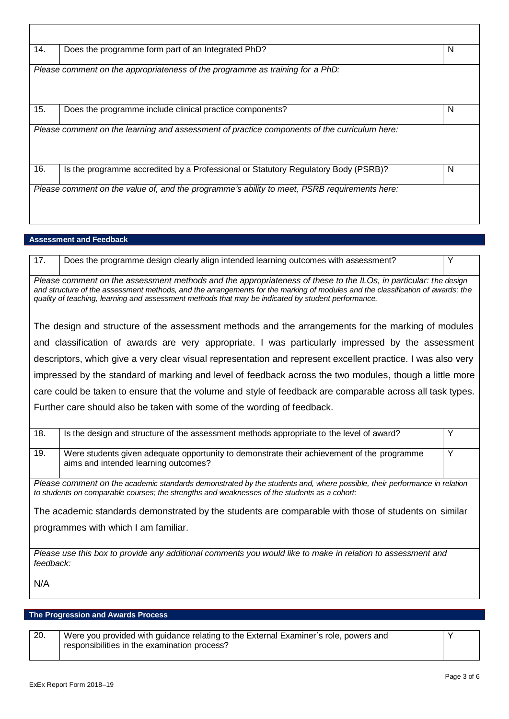| 14. | Does the programme form part of an Integrated PhD?                                           | N |
|-----|----------------------------------------------------------------------------------------------|---|
|     | Please comment on the appropriateness of the programme as training for a PhD:                |   |
| 15. | Does the programme include clinical practice components?                                     | N |
|     | Please comment on the learning and assessment of practice components of the curriculum here: |   |
| 16. | Is the programme accredited by a Professional or Statutory Regulatory Body (PSRB)?           | N |
|     |                                                                                              |   |

# **Assessment and Feedback**

17. Does the programme design clearly align intended learning outcomes with assessment?

*Please comment on the assessment methods and the appropriateness of these to the ILOs, in particular: the design and structure of the assessment methods, and the arrangements for the marking of modules and the classification of awards; the quality of teaching, learning and assessment methods that may be indicated by student performance.*

The design and structure of the assessment methods and the arrangements for the marking of modules and classification of awards are very appropriate. I was particularly impressed by the assessment descriptors, which give a very clear visual representation and represent excellent practice. I was also very impressed by the standard of marking and level of feedback across the two modules, though a little more care could be taken to ensure that the volume and style of feedback are comparable across all task types. Further care should also be taken with some of the wording of feedback.

| 18.                                                                                                                                                                                                                                                                                                                              | Is the design and structure of the assessment methods appropriate to the level of award?                                           |   |
|----------------------------------------------------------------------------------------------------------------------------------------------------------------------------------------------------------------------------------------------------------------------------------------------------------------------------------|------------------------------------------------------------------------------------------------------------------------------------|---|
| 19.                                                                                                                                                                                                                                                                                                                              | Were students given adequate opportunity to demonstrate their achievement of the programme<br>aims and intended learning outcomes? | Y |
| Please comment on the academic standards demonstrated by the students and, where possible, their performance in relation<br>to students on comparable courses; the strengths and weaknesses of the students as a cohort:<br>The academic standards demonstrated by the students are comparable with those of students on similar |                                                                                                                                    |   |
|                                                                                                                                                                                                                                                                                                                                  | programmes with which I am familiar.                                                                                               |   |
| Please use this box to provide any additional comments you would like to make in relation to assessment and<br>feedback:                                                                                                                                                                                                         |                                                                                                                                    |   |

N/A

# **The Progression and Awards Process**

20. Were you provided with guidance relating to the External Examiner's role, powers and responsibilities in the examination process?

Y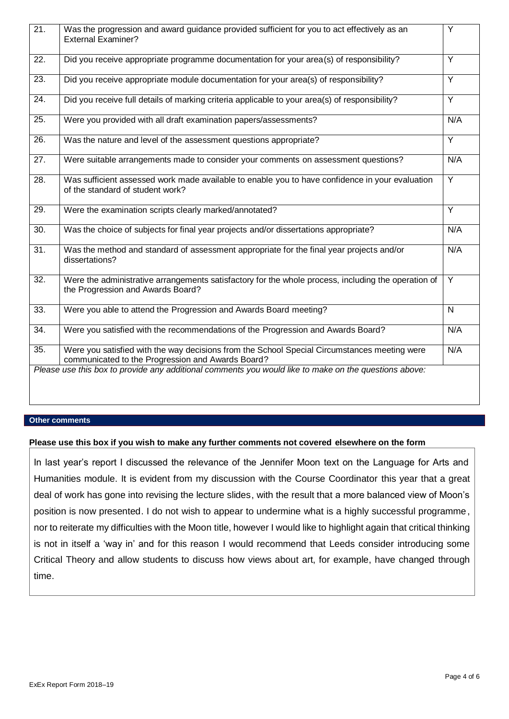| $\overline{21}$ . | Was the progression and award guidance provided sufficient for you to act effectively as an<br><b>External Examiner?</b>                          | Y              |
|-------------------|---------------------------------------------------------------------------------------------------------------------------------------------------|----------------|
| 22.               | Did you receive appropriate programme documentation for your area(s) of responsibility?                                                           | $\overline{Y}$ |
| 23.               | Did you receive appropriate module documentation for your area(s) of responsibility?                                                              | Y              |
| 24.               | Did you receive full details of marking criteria applicable to your area(s) of responsibility?                                                    | Y              |
| 25.               | Were you provided with all draft examination papers/assessments?                                                                                  | N/A            |
| $\overline{26}$ . | Was the nature and level of the assessment questions appropriate?                                                                                 | Ÿ              |
| 27.               | Were suitable arrangements made to consider your comments on assessment questions?                                                                | N/A            |
| $\overline{28}$ . | Was sufficient assessed work made available to enable you to have confidence in your evaluation<br>of the standard of student work?               | $\overline{Y}$ |
| 29.               | Were the examination scripts clearly marked/annotated?                                                                                            | Y              |
| 30.               | Was the choice of subjects for final year projects and/or dissertations appropriate?                                                              | N/A            |
| 31.               | Was the method and standard of assessment appropriate for the final year projects and/or<br>dissertations?                                        | N/A            |
| $\overline{32}$ . | Were the administrative arrangements satisfactory for the whole process, including the operation of<br>the Progression and Awards Board?          | $\overline{Y}$ |
| 33.               | Were you able to attend the Progression and Awards Board meeting?                                                                                 | $\mathsf{N}$   |
| 34.               | Were you satisfied with the recommendations of the Progression and Awards Board?                                                                  | N/A            |
| 35.               | Were you satisfied with the way decisions from the School Special Circumstances meeting were<br>communicated to the Progression and Awards Board? | N/A            |
|                   | Please use this box to provide any additional comments you would like to make on the questions above:                                             |                |

### **Other comments**

# **Please use this box if you wish to make any further comments not covered elsewhere on the form**

In last year's report I discussed the relevance of the Jennifer Moon text on the Language for Arts and Humanities module. It is evident from my discussion with the Course Coordinator this year that a great deal of work has gone into revising the lecture slides, with the result that a more balanced view of Moon's position is now presented. I do not wish to appear to undermine what is a highly successful programme, nor to reiterate my difficulties with the Moon title, however I would like to highlight again that critical thinking is not in itself a 'way in' and for this reason I would recommend that Leeds consider introducing some Critical Theory and allow students to discuss how views about art, for example, have changed through time.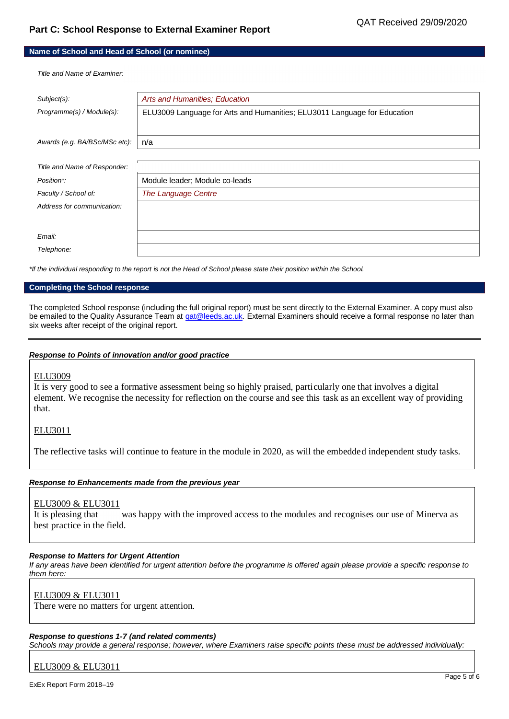# **Part C: School Response to External Examiner Report**

#### **Name of School and Head of School (or nominee)**

*Title and Name of Examiner:*

| Subject(s):                   | Arts and Humanities; Education                                           |  |
|-------------------------------|--------------------------------------------------------------------------|--|
| Programme(s) / Module(s):     | ELU3009 Language for Arts and Humanities; ELU3011 Language for Education |  |
|                               |                                                                          |  |
| Awards (e.g. BA/BSc/MSc etc): | n/a                                                                      |  |
|                               |                                                                          |  |
| Title and Name of Responder:  |                                                                          |  |
| Position*:                    | Module leader; Module co-leads                                           |  |
| Faculty / School of:          | The Language Centre                                                      |  |
| Address for communication:    |                                                                          |  |
|                               |                                                                          |  |
| Email:                        |                                                                          |  |
| Telephone:                    |                                                                          |  |

*\*If the individual responding to the report is not the Head of School please state their position within the School.*

#### **Completing the School response**

The completed School response (including the full original report) must be sent directly to the External Examiner. A copy must also be emailed to the Quality Assurance Team a[t qat@leeds.ac.uk.](mailto:qat@leeds.ac.uk) External Examiners should receive a formal response no later than six weeks after receipt of the original report.

#### *Response to Points of innovation and/or good practice*

#### ELU3009

It is very good to see a formative assessment being so highly praised, particularly one that involves a digital element. We recognise the necessity for reflection on the course and see this task as an excellent way of providing that.

### ELU3011

The reflective tasks will continue to feature in the module in 2020, as will the embedded independent study tasks.

#### *Response to Enhancements made from the previous year*

### ELU3009 & ELU3011

It is pleasing that was happy with the improved access to the modules and recognises our use of Minerva as best practice in the field.

#### *Response to Matters for Urgent Attention*

*If any areas have been identified for urgent attention before the programme is offered again please provide a specific response to them here:*

### ELU3009 & ELU3011

There were no matters for urgent attention.

#### *Response to questions 1-7 (and related comments)*

*Schools may provide a general response; however, where Examiners raise specific points these must be addressed individually:*

ELU3009 & ELU3011